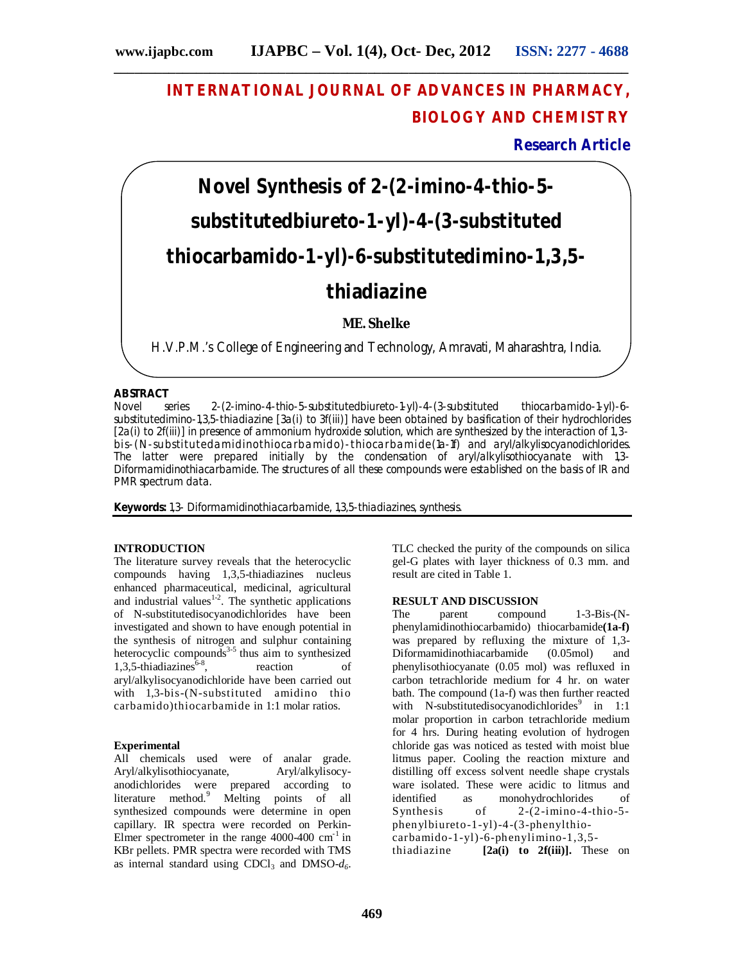**\_\_\_\_\_\_\_\_\_\_\_\_\_\_\_\_\_\_\_\_\_\_\_\_\_\_\_\_\_\_\_\_\_\_\_\_\_\_\_\_\_\_\_\_\_\_\_\_\_\_\_\_\_\_\_\_\_\_\_\_\_\_\_\_\_\_\_\_\_\_\_\_\_\_\_**

## **INTERNATIONAL JOURNAL OF ADVANCES IN PHARMACY, BIOLOGY AND CHEMISTRY**

**Research Article**

# **Novel Synthesis of 2-(2-imino-4-thio-5 substitutedbiureto-1-yl)-4-(3-substituted thiocarbamido-1-yl)-6-substitutedimino-1,3,5 thiadiazine**

## **ME. Shelke**

H.V.P.M.'s College of Engineering and Technology, Amravati, Maharashtra, India.

#### **ABSTRACT**

Novel series 2-(2-imino-4-thio-5-substitutedbiureto-1-yl)-4-(3-substituted thiocarbamido-1-yl)-6 substitutedimino-1,3,5-thiadiazine [3a(i) to 3f(iii)] have been obtained by basification of their hydrochlorides [2a(i) to 2f(iii)] in presence of ammonium hydroxide solution, which are synthesized by the interaction of 1,3 bis-(N-substitutedamidinothiocarbamido)-thiocarbamide(1a-1f) and aryl/alkylisocyanodichlorides. The latter were prepared initially by the condensation of aryl/alkylisothiocyanate with 1,3- Diformamidinothiacarbamide. The structures of all these compounds were established on the basis of IR and PMR spectrum data.

**Keywords:** 1,3- Diformamidinothiacarbamide, 1,3,5-thiadiazines, synthesis.

### **INTRODUCTION**

The literature survey reveals that the heterocyclic compounds having 1,3,5-thiadiazines nucleus enhanced pharmaceutical, medicinal, agricultural and industrial values $1-2$ . The synthetic applications of N-substitutedisocyanodichlorides have been investigated and shown to have enough potential in the synthesis of nitrogen and sulphur containing heterocyclic compounds<sup>3-5</sup> thus aim to synthesized 1,3,5-thiadiazines $6-8$ , reaction of aryl/alkylisocyanodichloride have been carried out with 1,3-bis-(N-substituted amidino thio carbamido)thiocarbamide in 1:1 molar ratios.

#### **Experimental**

All chemicals used were of analar grade.<br>Aryl/alkylisothiocyanate, Aryl/alkylisocy-Aryl/alkylisothiocyanate, anodichlorides were prepared according to literature method.<sup>9</sup> Melting points of all synthesized compounds were determine in open capillary. IR spectra were recorded on Perkin-Elmer spectrometer in the range  $4000-400$  cm<sup>-1</sup> in KBr pellets. PMR spectra were recorded with TMS as internal standard using  $CDCl<sub>3</sub>$  and  $DMSO-d<sub>6</sub>$ .

TLC checked the purity of the compounds on silica gel-G plates with layer thickness of 0.3 mm. and result are cited in Table 1.

# **RESULT AND DISCUSSION**<br>The parent compound

 $1-3-Bis-(N$ phenylamidinothiocarbamido) thiocarbamide**(1a-f)** was prepared by refluxing the mixture of 1,3- Diformamidinothiacarbamide (0.05mol) and phenylisothiocyanate (0.05 mol) was refluxed in carbon tetrachloride medium for 4 hr. on water bath. The compound (1a-f) was then further reacted with N-substitutedisocyanodichlorides<sup>9</sup> in  $1:1$ molar proportion in carbon tetrachloride medium for 4 hrs. During heating evolution of hydrogen chloride gas was noticed as tested with moist blue litmus paper. Cooling the reaction mixture and distilling off excess solvent needle shape crystals ware isolated. These were acidic to litmus and<br>identified as monohydrochlorides of as monohydrochlorides of Synthesis of 2-(2-imino-4-thio-5 phenylbiureto-1-yl)-4-(3-phenylthiocarbamido-1-yl)-6-phenylimino-1,3,5 thiadiazine **[2a(i) to 2f(iii)].** These on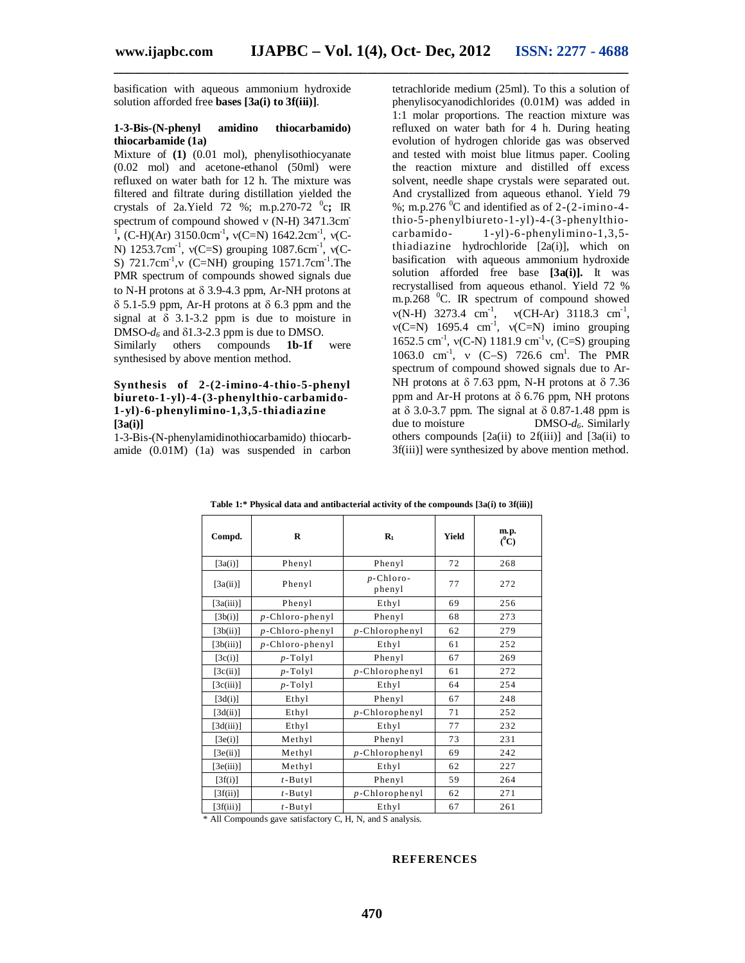**\_\_\_\_\_\_\_\_\_\_\_\_\_\_\_\_\_\_\_\_\_\_\_\_\_\_\_\_\_\_\_\_\_\_\_\_\_\_\_\_\_\_\_\_\_\_\_\_\_\_\_\_\_\_\_\_\_\_\_\_\_\_\_\_\_\_\_\_\_\_\_\_\_\_\_**

basification with aqueous ammonium hydroxide solution afforded free **bases [3a(i) to 3f(iii)]**.

#### **1-3-Bis-(N-phenyl amidino thiocarbamido) thiocarbamide (1a)**

Mixture of **(1)** (0.01 mol), phenylisothiocyanate (0.02 mol) and acetone-ethanol (50ml) were refluxed on water bath for 12 h. The mixture was filtered and filtrate during distillation yielded the crystals of 2a.Yield 72 %; m.p.270-72 <sup>0</sup> c**;** IR spectrum of compound showed  $v$  (N-H) 3471.3cm <sup>1</sup>, (C-H)(Ar) 3150.0cm<sup>-1</sup>,  $v(C=N)$  1642.2cm<sup>-1</sup>,  $v(C-N)$ N) 1253.7cm<sup>-1</sup>,  $v(C=S)$  grouping 1087.6cm<sup>-1</sup>,  $v(C-S)$ S)  $721.7 \text{cm}^{-1}$ , v (C=NH) grouping  $1571.7 \text{cm}^{-1}$ . The PMR spectrum of compounds showed signals due to N-H protons at  $\delta$  3.9-4.3 ppm, Ar-NH protons at  $\delta$  5.1-5.9 ppm, Ar-H protons at  $\delta$  6.3 ppm and the signal at  $\delta$  3.1-3.2 ppm is due to moisture in DMSO- $d_6$  and  $\delta$ 1.3-2.3 ppm is due to DMSO. Similarly others compounds **1b-1f** were

synthesised by above mention method.

#### **Synthesis of 2-(2-imino-4-thio-5-phenyl biureto-1-yl)-4-(3-phenylthio-carbamido-1-yl)-6-phenylimino-1,3,5-thiadiazine [3a(i)]**

1-3-Bis-(N-phenylamidinothiocarbamido) thiocarbamide (0.01M) (1a) was suspended in carbon tetrachloride medium (25ml). To this a solution of phenylisocyanodichlorides (0.01M) was added in 1:1 molar proportions. The reaction mixture was refluxed on water bath for 4 h. During heating evolution of hydrogen chloride gas was observed and tested with moist blue litmus paper. Cooling the reaction mixture and distilled off excess solvent, needle shape crystals were separated out. And crystallized from aqueous ethanol. Yield 79 %; m.p.276  $^0$ C and identified as of 2-(2-imino-4thio-5-phenylbiureto-1-yl)-4-(3-phenylthiocarbamido- 1-yl)-6-phenylimino-1,3,5 thiadiazine hydrochloride [2a(i)], which on basification with aqueous ammonium hydroxide solution afforded free base **[3a(i)].** It was recrystallised from aqueous ethanol. Yield 72 % m.p.268  $^0$ C. IR spectrum of compound showed  $v(N-H)$  3273.4 cm<sup>-1</sup>,  $v(CH-Ar)$  3118.3 cm<sup>-1</sup>,  $v(C=N)$  1695.4 cm<sup>-1</sup>,  $v(C=N)$  imino grouping 1652.5 cm<sup>-1</sup>,  $v(C-N)$  1181.9 cm<sup>-1</sup>v, (C=S) grouping 1063.0 cm<sup>-1</sup>, v (C-S) 726.6 cm<sup>1</sup>. The PMR spectrum of compound showed signals due to Ar-NH protons at  $\delta$  7.63 ppm, N-H protons at  $\delta$  7.36 ppm and Ar-H protons at  $\delta$  6.76 ppm, NH protons at  $\delta$  3.0-3.7 ppm. The signal at  $\delta$  0.87-1.48 ppm is due to moisture DMSO- $d_{\delta}$ . Similarly DMSO- $d_6$ . Similarly others compounds  $[2a(ii)$  to  $2f(iii)]$  and  $[3a(ii)$  to 3f(iii)] were synthesized by above mention method.

| Compd.    | $\mathbf R$        | $R_1$                  | <b>Yield</b> | m.p.<br>$(^0C)$ |
|-----------|--------------------|------------------------|--------------|-----------------|
| [3a(i)]   | Phenyl             | Phenyl                 | 72           | 268             |
| [3a(ii)]  | Phenyl             | $p$ -Chloro-<br>phenyl | 77           | 272             |
| [3a(iii)] | Phenyl             | Ethyl                  | 69           | 256             |
| [3b(i)]   | $p$ -Chloro-phenyl | Phenyl                 | 68           | 273             |
| [3b(ii)]  | $p$ -Chloro-phenyl | $p$ -Chlorophenyl      | 62           | 279             |
| [3b(iii)] | $p$ -Chloro-phenyl | Ethyl                  | 61           | 252             |
| [3c(i)]   | $p$ -Tolyl         | Phenyl                 | 67           | 269             |
| [3c(ii)]  | $p$ -Tolyl         | $p$ -Chlorophenyl      | 61           | 272             |
| [3c(iii)] | $p$ -Tolyl         | Ethyl                  | 64           | 254             |
| [3d(i)]   | Ethyl              | Phenyl                 | 67           | 248             |
| [3d(ii)]  | Ethyl              | $p$ -Chlorophenyl      | 71           | 252             |
| [3d(iii)] | Ethyl              | Ethyl                  | 77           | 232             |
| [3e(i)]   | Methyl             | Phenyl                 | 73           | 231             |
| [3e(ii)]  | Methyl             | $p$ -Chlorophenyl      | 69           | 242             |
| [3e(iii)] | Methyl             | Ethyl                  | 62           | 227             |
| [3f(i)]   | $t - Butyl$        | Phenyl                 | 59           | 264             |
| [3f(ii)]  | $t - Butyl$        | $p$ -Chlorophenyl      | 62           | 271             |
| [3f(iii)] | $t - Butyl$        | Ethyl                  | 67           | 261             |

**Table 1:\* Physical data and antibacterial activity of the compounds [3a(i) to 3f(iii)]**

\* All Compounds gave satisfactory C, H, N, and S analysis.

#### **REFERENCES**